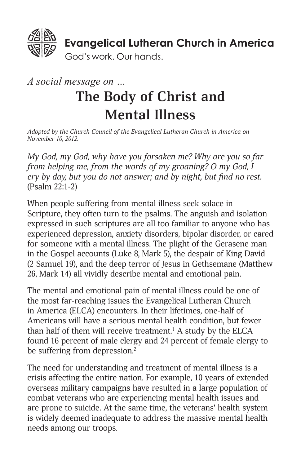

# *A social message on …* **The Body of Christ and Mental Illness**

*Adopted by the Church Council of the Evangelical Lutheran Church in America on November 10, 2012.*

*My God, my God, why have you forsaken me? Why are you so far from helping me, from the words of my groaning? O my God, I cry by day, but you do not answer; and by night, but find no rest.* (Psalm 22:1-2)

When people suffering from mental illness seek solace in Scripture, they often turn to the psalms. The anguish and isolation expressed in such scriptures are all too familiar to anyone who has experienced depression, anxiety disorders, bipolar disorder, or cared for someone with a mental illness. The plight of the Gerasene man in the Gospel accounts (Luke 8, Mark 5), the despair of King David (2 Samuel 19), and the deep terror of Jesus in Gethsemane (Matthew 26, Mark 14) all vividly describe mental and emotional pain.

The mental and emotional pain of mental illness could be one of the most far-reaching issues the Evangelical Lutheran Church in America (ELCA) encounters. In their lifetimes, one-half of Americans will have a serious mental health condition, but fewer than half of them will receive treatment.<sup>1</sup> A study by the ELCA found 16 percent of male clergy and 24 percent of female clergy to be suffering from depression.<sup>2</sup>

The need for understanding and treatment of mental illness is a crisis affecting the entire nation. For example, 10 years of extended overseas military campaigns have resulted in a large population of combat veterans who are experiencing mental health issues and are prone to suicide. At the same time, the veterans' health system is widely deemed inadequate to address the massive mental health needs among our troops.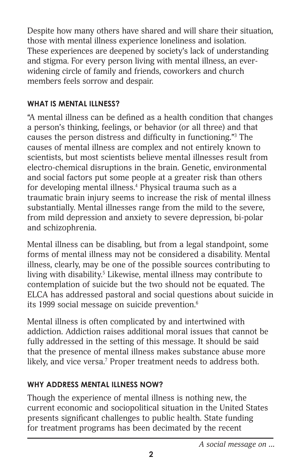Despite how many others have shared and will share their situation, those with mental illness experience loneliness and isolation. These experiences are deepened by society's lack of understanding and stigma. For every person living with mental illness, an everwidening circle of family and friends, coworkers and church members feels sorrow and despair.

#### **WHAT IS MENTAL ILLNESS?**

"A mental illness can be defined as a health condition that changes a person's thinking, feelings, or behavior (or all three) and that causes the person distress and difficulty in functioning."3 The causes of mental illness are complex and not entirely known to scientists, but most scientists believe mental illnesses result from electro-chemical disruptions in the brain. Genetic, environmental and social factors put some people at a greater risk than others for developing mental illness.4 Physical trauma such as a traumatic brain injury seems to increase the risk of mental illness substantially. Mental illnesses range from the mild to the severe, from mild depression and anxiety to severe depression, bi-polar and schizophrenia.

Mental illness can be disabling, but from a legal standpoint, some forms of mental illness may not be considered a disability. Mental illness, clearly, may be one of the possible sources contributing to living with disability.<sup>5</sup> Likewise, mental illness may contribute to contemplation of suicide but the two should not be equated. The ELCA has addressed pastoral and social questions about suicide in its 1999 social message on suicide prevention.<sup>6</sup>

Mental illness is often complicated by and intertwined with addiction. Addiction raises additional moral issues that cannot be fully addressed in the setting of this message. It should be said that the presence of mental illness makes substance abuse more likely, and vice versa.<sup>7</sup> Proper treatment needs to address both.

#### **WHY ADDRESS MENTAL ILLNESS NOW?**

Though the experience of mental illness is nothing new, the current economic and sociopolitical situation in the United States presents significant challenges to public health. State funding for treatment programs has been decimated by the recent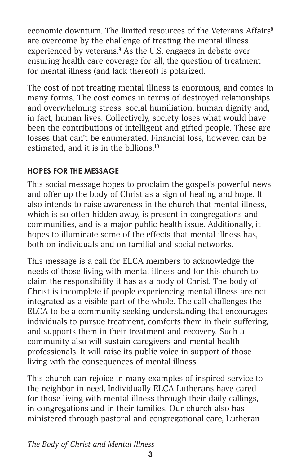economic downturn. The limited resources of the Veterans Affairs<sup>8</sup> are overcome by the challenge of treating the mental illness experienced by veterans.<sup>9</sup> As the U.S. engages in debate over ensuring health care coverage for all, the question of treatment for mental illness (and lack thereof) is polarized.

The cost of not treating mental illness is enormous, and comes in many forms. The cost comes in terms of destroyed relationships and overwhelming stress, social humiliation, human dignity and, in fact, human lives. Collectively, society loses what would have been the contributions of intelligent and gifted people. These are losses that can't be enumerated. Financial loss, however, can be estimated, and it is in the billions.10

# **HOPES FOR THE MESSAGE**

This social message hopes to proclaim the gospel's powerful news and offer up the body of Christ as a sign of healing and hope. It also intends to raise awareness in the church that mental illness, which is so often hidden away, is present in congregations and communities, and is a major public health issue. Additionally, it hopes to illuminate some of the effects that mental illness has, both on individuals and on familial and social networks.

This message is a call for ELCA members to acknowledge the needs of those living with mental illness and for this church to claim the responsibility it has as a body of Christ. The body of Christ is incomplete if people experiencing mental illness are not integrated as a visible part of the whole. The call challenges the ELCA to be a community seeking understanding that encourages individuals to pursue treatment, comforts them in their suffering, and supports them in their treatment and recovery. Such a community also will sustain caregivers and mental health professionals. It will raise its public voice in support of those living with the consequences of mental illness.

This church can rejoice in many examples of inspired service to the neighbor in need. Individually ELCA Lutherans have cared for those living with mental illness through their daily callings, in congregations and in their families. Our church also has ministered through pastoral and congregational care, Lutheran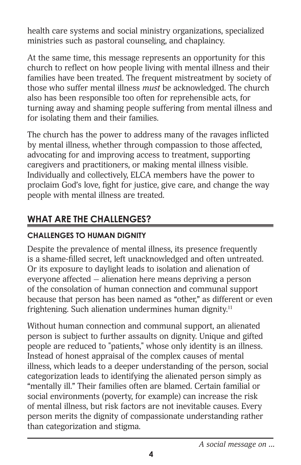health care systems and social ministry organizations, specialized ministries such as pastoral counseling, and chaplaincy.

At the same time, this message represents an opportunity for this church to reflect on how people living with mental illness and their families have been treated. The frequent mistreatment by society of those who suffer mental illness *must* be acknowledged. The church also has been responsible too often for reprehensible acts, for turning away and shaming people suffering from mental illness and for isolating them and their families.

The church has the power to address many of the ravages inflicted by mental illness, whether through compassion to those affected, advocating for and improving access to treatment, supporting caregivers and practitioners, or making mental illness visible. Individually and collectively, ELCA members have the power to proclaim God's love, fight for justice, give care, and change the way people with mental illness are treated.

# **WHAT ARE THE CHALLENGES?**

# **CHALLENGES TO HUMAN DIGNITY**

Despite the prevalence of mental illness, its presence frequently is a shame-filled secret, left unacknowledged and often untreated. Or its exposure to daylight leads to isolation and alienation of everyone affected — alienation here means depriving a person of the consolation of human connection and communal support because that person has been named as "other," as different or even frightening. Such alienation undermines human dignity.<sup>11</sup>

Without human connection and communal support, an alienated person is subject to further assaults on dignity. Unique and gifted people are reduced to "patients," whose only identity is an illness. Instead of honest appraisal of the complex causes of mental illness, which leads to a deeper understanding of the person, social categorization leads to identifying the alienated person simply as "mentally ill." Their families often are blamed. Certain familial or social environments (poverty, for example) can increase the risk of mental illness, but risk factors are not inevitable causes. Every person merits the dignity of compassionate understanding rather than categorization and stigma.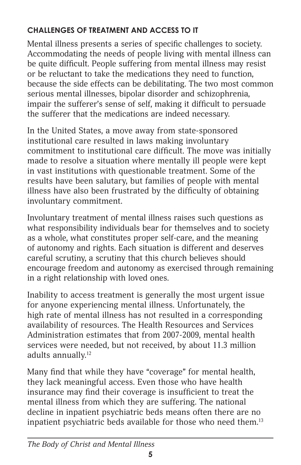# **CHALLENGES OF TREATMENT AND ACCESS TO IT**

Mental illness presents a series of specific challenges to society. Accommodating the needs of people living with mental illness can be quite difficult. People suffering from mental illness may resist or be reluctant to take the medications they need to function, because the side effects can be debilitating. The two most common serious mental illnesses, bipolar disorder and schizophrenia, impair the sufferer's sense of self, making it difficult to persuade the sufferer that the medications are indeed necessary.

In the United States, a move away from state-sponsored institutional care resulted in laws making involuntary commitment to institutional care difficult. The move was initially made to resolve a situation where mentally ill people were kept in vast institutions with questionable treatment. Some of the results have been salutary, but families of people with mental illness have also been frustrated by the difficulty of obtaining involuntary commitment.

Involuntary treatment of mental illness raises such questions as what responsibility individuals bear for themselves and to society as a whole, what constitutes proper self-care, and the meaning of autonomy and rights. Each situation is different and deserves careful scrutiny, a scrutiny that this church believes should encourage freedom and autonomy as exercised through remaining in a right relationship with loved ones.

Inability to access treatment is generally the most urgent issue for anyone experiencing mental illness. Unfortunately, the high rate of mental illness has not resulted in a corresponding availability of resources. The Health Resources and Services Administration estimates that from 2007-2009, mental health services were needed, but not received, by about 11.3 million adults annually.<sup>12</sup>

Many find that while they have "coverage" for mental health, they lack meaningful access. Even those who have health insurance may find their coverage is insufficient to treat the mental illness from which they are suffering. The national decline in inpatient psychiatric beds means often there are no inpatient psychiatric beds available for those who need them.<sup>13</sup>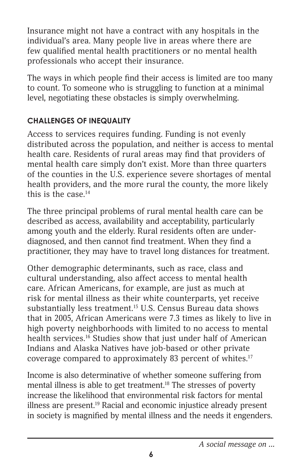Insurance might not have a contract with any hospitals in the individual's area. Many people live in areas where there are few qualified mental health practitioners or no mental health professionals who accept their insurance.

The ways in which people find their access is limited are too many to count. To someone who is struggling to function at a minimal level, negotiating these obstacles is simply overwhelming.

#### **CHALLENGES OF INEQUALITY**

Access to services requires funding. Funding is not evenly distributed across the population, and neither is access to mental health care. Residents of rural areas may find that providers of mental health care simply don't exist. More than three quarters of the counties in the U.S. experience severe shortages of mental health providers, and the more rural the county, the more likely this is the case.<sup>14</sup>

The three principal problems of rural mental health care can be described as access, availability and acceptability, particularly among youth and the elderly. Rural residents often are underdiagnosed, and then cannot find treatment. When they find a practitioner, they may have to travel long distances for treatment.

Other demographic determinants, such as race, class and cultural understanding, also affect access to mental health care. African Americans, for example, are just as much at risk for mental illness as their white counterparts, yet receive substantially less treatment.<sup>15</sup> U.S. Census Bureau data shows that in 2005, African Americans were 7.3 times as likely to live in high poverty neighborhoods with limited to no access to mental health services.<sup>16</sup> Studies show that just under half of American Indians and Alaska Natives have job-based or other private coverage compared to approximately 83 percent of whites.17

Income is also determinative of whether someone suffering from mental illness is able to get treatment.<sup>18</sup> The stresses of poverty increase the likelihood that environmental risk factors for mental illness are present.<sup>19</sup> Racial and economic injustice already present in society is magnified by mental illness and the needs it engenders.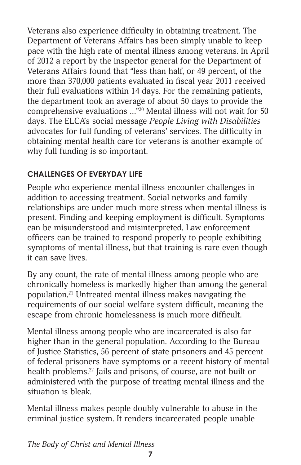Veterans also experience difficulty in obtaining treatment. The Department of Veterans Affairs has been simply unable to keep pace with the high rate of mental illness among veterans. In April of 2012 a report by the inspector general for the Department of Veterans Affairs found that "less than half, or 49 percent, of the more than 370,000 patients evaluated in fiscal year 2011 received their full evaluations within 14 days. For the remaining patients, the department took an average of about 50 days to provide the comprehensive evaluations …"20 Mental illness will not wait for 50 days. The ELCA's social message *People Living with Disabilities* advocates for full funding of veterans' services. The difficulty in obtaining mental health care for veterans is another example of why full funding is so important.

# **CHALLENGES OF EVERYDAY LIFE**

People who experience mental illness encounter challenges in addition to accessing treatment. Social networks and family relationships are under much more stress when mental illness is present. Finding and keeping employment is difficult. Symptoms can be misunderstood and misinterpreted. Law enforcement officers can be trained to respond properly to people exhibiting symptoms of mental illness, but that training is rare even though it can save lives.

By any count, the rate of mental illness among people who are chronically homeless is markedly higher than among the general population.21 Untreated mental illness makes navigating the requirements of our social welfare system difficult, meaning the escape from chronic homelessness is much more difficult.

Mental illness among people who are incarcerated is also far higher than in the general population. According to the Bureau of Justice Statistics, 56 percent of state prisoners and 45 percent of federal prisoners have symptoms or a recent history of mental health problems.<sup>22</sup> Jails and prisons, of course, are not built or administered with the purpose of treating mental illness and the situation is bleak.

Mental illness makes people doubly vulnerable to abuse in the criminal justice system. It renders incarcerated people unable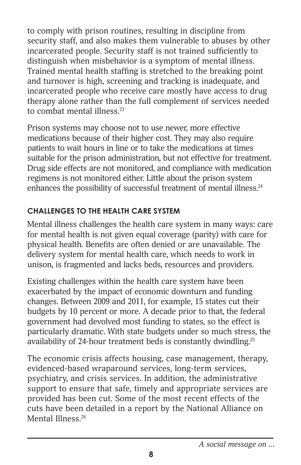to comply with prison routines, resulting in discipline from security staff, and also makes them vulnerable to abuses by other incarcerated people. Security staff is not trained sufficiently to distinguish when misbehavior is a symptom of mental illness. Trained mental health staffing is stretched to the breaking point and turnover is high, screening and tracking is inadequate, and incarcerated people who receive care mostly have access to drug therapy alone rather than the full complement of services needed to combat mental illness.<sup>23</sup>

Prison systems may choose not to use newer, more effective medications because of their higher cost. They may also require patients to wait hours in line or to take the medications at times suitable for the prison administration, but not effective for treatment. Drug side effects are not monitored, and compliance with medication regimens is not monitored either. Little about the prison system enhances the possibility of successful treatment of mental illness.<sup>24</sup>

#### **CHALLENGES TO THE HEALTH CARE SYSTEM**

Mental illness challenges the health care system in many ways: care for mental health is not given equal coverage (parity) with care for physical health. Benefits are often denied or are unavailable. The delivery system for mental health care, which needs to work in unison, is fragmented and lacks beds, resources and providers.

Existing challenges within the health care system have been exacerbated by the impact of economic downturn and funding changes. Between 2009 and 2011, for example, 15 states cut their budgets by 10 percent or more. A decade prior to that, the federal government had devolved most funding to states, so the effect is particularly dramatic. With state budgets under so much stress, the availability of 24-hour treatment beds is constantly dwindling.<sup>25</sup>

The economic crisis affects housing, case management, therapy, evidenced-based wraparound services, long-term services, psychiatry, and crisis services. In addition, the administrative support to ensure that safe, timely and appropriate services are provided has been cut. Some of the most recent effects of the cuts have been detailed in a report by the National Alliance on Mental Illness<sup>26</sup>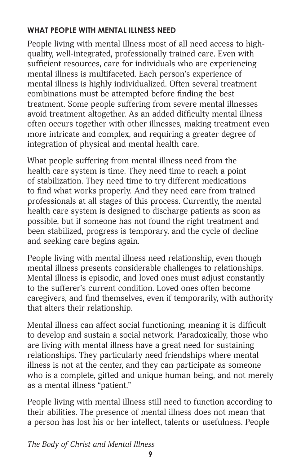# **WHAT PEOPLE WITH MENTAL ILLNESS NEED**

People living with mental illness most of all need access to highquality, well-integrated, professionally trained care. Even with sufficient resources, care for individuals who are experiencing mental illness is multifaceted. Each person's experience of mental illness is highly individualized. Often several treatment combinations must be attempted before finding the best treatment. Some people suffering from severe mental illnesses avoid treatment altogether. As an added difficulty mental illness often occurs together with other illnesses, making treatment even more intricate and complex, and requiring a greater degree of integration of physical and mental health care.

What people suffering from mental illness need from the health care system is time. They need time to reach a point of stabilization. They need time to try different medications to find what works properly. And they need care from trained professionals at all stages of this process. Currently, the mental health care system is designed to discharge patients as soon as possible, but if someone has not found the right treatment and been stabilized, progress is temporary, and the cycle of decline and seeking care begins again.

People living with mental illness need relationship, even though mental illness presents considerable challenges to relationships. Mental illness is episodic, and loved ones must adjust constantly to the sufferer's current condition. Loved ones often become caregivers, and find themselves, even if temporarily, with authority that alters their relationship.

Mental illness can affect social functioning, meaning it is difficult to develop and sustain a social network. Paradoxically, those who are living with mental illness have a great need for sustaining relationships. They particularly need friendships where mental illness is not at the center, and they can participate as someone who is a complete, gifted and unique human being, and not merely as a mental illness "patient."

People living with mental illness still need to function according to their abilities. The presence of mental illness does not mean that a person has lost his or her intellect, talents or usefulness. People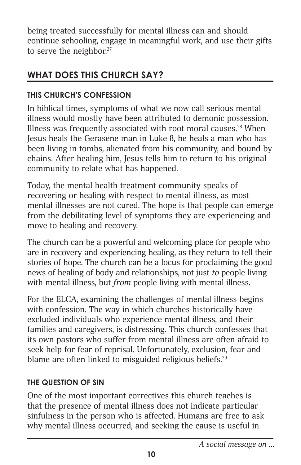being treated successfully for mental illness can and should continue schooling, engage in meaningful work, and use their gifts to serve the neighbor. $27$ 

# **WHAT DOES THIS CHURCH SAY?**

#### **THIS CHURCH'S CONFESSION**

In biblical times, symptoms of what we now call serious mental illness would mostly have been attributed to demonic possession. Illness was frequently associated with root moral causes. $28$  When Jesus heals the Gerasene man in Luke 8, he heals a man who has been living in tombs, alienated from his community, and bound by chains. After healing him, Jesus tells him to return to his original community to relate what has happened.

Today, the mental health treatment community speaks of recovering or healing with respect to mental illness, as most mental illnesses are not cured. The hope is that people can emerge from the debilitating level of symptoms they are experiencing and move to healing and recovery.

The church can be a powerful and welcoming place for people who are in recovery and experiencing healing, as they return to tell their stories of hope. The church can be a locus for proclaiming the good news of healing of body and relationships, not just *to* people living with mental illness, but *from* people living with mental illness.

For the ELCA, examining the challenges of mental illness begins with confession. The way in which churches historically have excluded individuals who experience mental illness, and their families and caregivers, is distressing. This church confesses that its own pastors who suffer from mental illness are often afraid to seek help for fear of reprisal. Unfortunately, exclusion, fear and blame are often linked to misguided religious beliefs.<sup>29</sup>

#### **THE QUESTION OF SIN**

One of the most important correctives this church teaches is that the presence of mental illness does not indicate particular sinfulness in the person who is affected. Humans are free to ask why mental illness occurred, and seeking the cause is useful in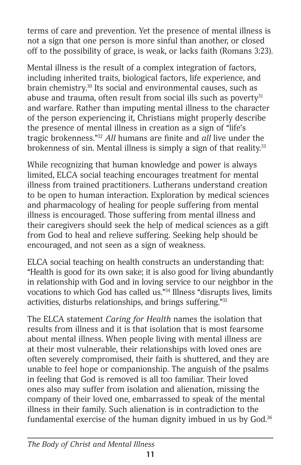terms of care and prevention. Yet the presence of mental illness is not a sign that one person is more sinful than another, or closed off to the possibility of grace, is weak, or lacks faith (Romans 3:23).

Mental illness is the result of a complex integration of factors, including inherited traits, biological factors, life experience, and brain chemistry.<sup>30</sup> Its social and environmental causes, such as abuse and trauma, often result from social ills such as poverty $31$ and warfare. Rather than imputing mental illness to the character of the person experiencing it, Christians might properly describe the presence of mental illness in creation as a sign of "life's tragic brokenness."32 *All* humans are finite and *all* live under the brokenness of sin. Mental illness is simply a sign of that reality.<sup>33</sup>

While recognizing that human knowledge and power is always limited, ELCA social teaching encourages treatment for mental illness from trained practitioners. Lutherans understand creation to be open to human interaction. Exploration by medical sciences and pharmacology of healing for people suffering from mental illness is encouraged. Those suffering from mental illness and their caregivers should seek the help of medical sciences as a gift from God to heal and relieve suffering. Seeking help should be encouraged, and not seen as a sign of weakness.

ELCA social teaching on health constructs an understanding that: "Health is good for its own sake; it is also good for living abundantly in relationship with God and in loving service to our neighbor in the vocations to which God has called us."34 Illness "disrupts lives, limits activities, disturbs relationships, and brings suffering."35

The ELCA statement *Caring for Health* names the isolation that results from illness and it is that isolation that is most fearsome about mental illness. When people living with mental illness are at their most vulnerable, their relationships with loved ones are often severely compromised, their faith is shuttered, and they are unable to feel hope or companionship. The anguish of the psalms in feeling that God is removed is all too familiar. Their loved ones also may suffer from isolation and alienation, missing the company of their loved one, embarrassed to speak of the mental illness in their family. Such alienation is in contradiction to the fundamental exercise of the human dignity imbued in us by God.<sup>36</sup>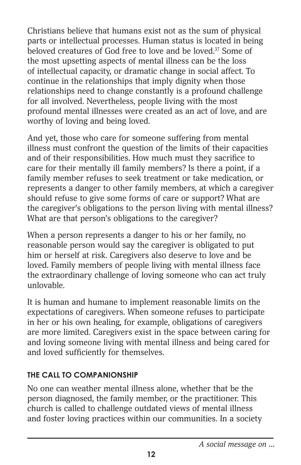Christians believe that humans exist not as the sum of physical parts or intellectual processes. Human status is located in being beloved creatures of God free to love and be loved.<sup>37</sup> Some of the most upsetting aspects of mental illness can be the loss of intellectual capacity, or dramatic change in social affect. To continue in the relationships that imply dignity when those relationships need to change constantly is a profound challenge for all involved. Nevertheless, people living with the most profound mental illnesses were created as an act of love, and are worthy of loving and being loved.

And yet, those who care for someone suffering from mental illness must confront the question of the limits of their capacities and of their responsibilities. How much must they sacrifice to care for their mentally ill family members? Is there a point, if a family member refuses to seek treatment or take medication, or represents a danger to other family members, at which a caregiver should refuse to give some forms of care or support? What are the caregiver's obligations to the person living with mental illness? What are that person's obligations to the caregiver?

When a person represents a danger to his or her family, no reasonable person would say the caregiver is obligated to put him or herself at risk. Caregivers also deserve to love and be loved. Family members of people living with mental illness face the extraordinary challenge of loving someone who can act truly unlovable.

It is human and humane to implement reasonable limits on the expectations of caregivers. When someone refuses to participate in her or his own healing, for example, obligations of caregivers are more limited. Caregivers exist in the space between caring for and loving someone living with mental illness and being cared for and loved sufficiently for themselves.

# **THE CALL TO COMPANIONSHIP**

No one can weather mental illness alone, whether that be the person diagnosed, the family member, or the practitioner. This church is called to challenge outdated views of mental illness and foster loving practices within our communities. In a society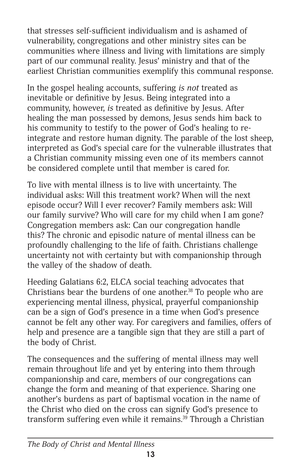that stresses self-sufficient individualism and is ashamed of vulnerability, congregations and other ministry sites can be communities where illness and living with limitations are simply part of our communal reality. Jesus' ministry and that of the earliest Christian communities exemplify this communal response.

In the gospel healing accounts, suffering *is not* treated as inevitable or definitive by Jesus. Being integrated into a community, however, *is* treated as definitive by Jesus. After healing the man possessed by demons, Jesus sends him back to his community to testify to the power of God's healing to reintegrate and restore human dignity. The parable of the lost sheep, interpreted as God's special care for the vulnerable illustrates that a Christian community missing even one of its members cannot be considered complete until that member is cared for.

To live with mental illness is to live with uncertainty. The individual asks: Will this treatment work? When will the next episode occur? Will I ever recover? Family members ask: Will our family survive? Who will care for my child when I am gone? Congregation members ask: Can our congregation handle this? The chronic and episodic nature of mental illness can be profoundly challenging to the life of faith. Christians challenge uncertainty not with certainty but with companionship through the valley of the shadow of death.

Heeding Galatians 6:2, ELCA social teaching advocates that Christians bear the burdens of one another. $38$  To people who are experiencing mental illness, physical, prayerful companionship can be a sign of God's presence in a time when God's presence cannot be felt any other way. For caregivers and families, offers of help and presence are a tangible sign that they are still a part of the body of Christ.

The consequences and the suffering of mental illness may well remain throughout life and yet by entering into them through companionship and care, members of our congregations can change the form and meaning of that experience. Sharing one another's burdens as part of baptismal vocation in the name of the Christ who died on the cross can signify God's presence to transform suffering even while it remains.<sup>39</sup> Through a Christian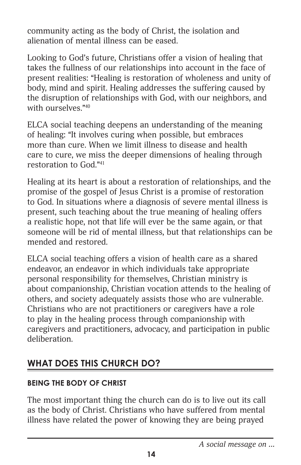community acting as the body of Christ, the isolation and alienation of mental illness can be eased.

Looking to God's future, Christians offer a vision of healing that takes the fullness of our relationships into account in the face of present realities: "Healing is restoration of wholeness and unity of body, mind and spirit. Healing addresses the suffering caused by the disruption of relationships with God, with our neighbors, and with ourselves."<sup>40</sup>

ELCA social teaching deepens an understanding of the meaning of healing: "It involves curing when possible, but embraces more than cure. When we limit illness to disease and health care to cure, we miss the deeper dimensions of healing through restoration to God."41

Healing at its heart is about a restoration of relationships, and the promise of the gospel of Jesus Christ is a promise of restoration to God. In situations where a diagnosis of severe mental illness is present, such teaching about the true meaning of healing offers a realistic hope, not that life will ever be the same again, or that someone will be rid of mental illness, but that relationships can be mended and restored.

ELCA social teaching offers a vision of health care as a shared endeavor, an endeavor in which individuals take appropriate personal responsibility for themselves, Christian ministry is about companionship, Christian vocation attends to the healing of others, and society adequately assists those who are vulnerable. Christians who are not practitioners or caregivers have a role to play in the healing process through companionship with caregivers and practitioners, advocacy, and participation in public deliberation.

# **WHAT DOES THIS CHURCH DO?**

#### **BEING THE BODY OF CHRIST**

The most important thing the church can do is to live out its call as the body of Christ. Christians who have suffered from mental illness have related the power of knowing they are being prayed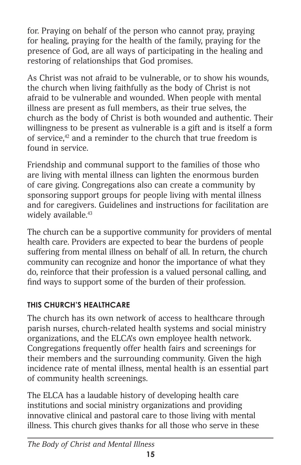for. Praying on behalf of the person who cannot pray, praying for healing, praying for the health of the family, praying for the presence of God, are all ways of participating in the healing and restoring of relationships that God promises.

As Christ was not afraid to be vulnerable, or to show his wounds, the church when living faithfully as the body of Christ is not afraid to be vulnerable and wounded. When people with mental illness are present as full members, as their true selves, the church as the body of Christ is both wounded and authentic. Their willingness to be present as vulnerable is a gift and is itself a form of service,<sup>42</sup> and a reminder to the church that true freedom is found in service.

Friendship and communal support to the families of those who are living with mental illness can lighten the enormous burden of care giving. Congregations also can create a community by sponsoring support groups for people living with mental illness and for caregivers. Guidelines and instructions for facilitation are widely available.<sup>43</sup>

The church can be a supportive community for providers of mental health care. Providers are expected to bear the burdens of people suffering from mental illness on behalf of all. In return, the church community can recognize and honor the importance of what they do, reinforce that their profession is a valued personal calling, and find ways to support some of the burden of their profession.

# **THIS CHURCH'S HEALTHCARE**

The church has its own network of access to healthcare through parish nurses, church-related health systems and social ministry organizations, and the ELCA's own employee health network. Congregations frequently offer health fairs and screenings for their members and the surrounding community. Given the high incidence rate of mental illness, mental health is an essential part of community health screenings.

The ELCA has a laudable history of developing health care institutions and social ministry organizations and providing innovative clinical and pastoral care to those living with mental illness. This church gives thanks for all those who serve in these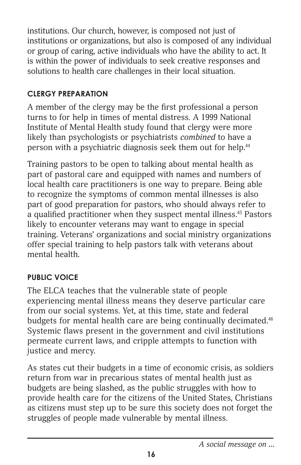institutions. Our church, however, is composed not just of institutions or organizations, but also is composed of any individual or group of caring, active individuals who have the ability to act. It is within the power of individuals to seek creative responses and solutions to health care challenges in their local situation.

#### **CLERGY PREPARATION**

A member of the clergy may be the first professional a person turns to for help in times of mental distress. A 1999 National Institute of Mental Health study found that clergy were more likely than psychologists or psychiatrists *combined* to have a person with a psychiatric diagnosis seek them out for help.<sup>44</sup>

Training pastors to be open to talking about mental health as part of pastoral care and equipped with names and numbers of local health care practitioners is one way to prepare. Being able to recognize the symptoms of common mental illnesses is also part of good preparation for pastors, who should always refer to a qualified practitioner when they suspect mental illness.45 Pastors likely to encounter veterans may want to engage in special training. Veterans' organizations and social ministry organizations offer special training to help pastors talk with veterans about mental health.

# **PUBLIC VOICE**

The ELCA teaches that the vulnerable state of people experiencing mental illness means they deserve particular care from our social systems. Yet, at this time, state and federal budgets for mental health care are being continually decimated.<sup>46</sup> Systemic flaws present in the government and civil institutions permeate current laws, and cripple attempts to function with justice and mercy.

As states cut their budgets in a time of economic crisis, as soldiers return from war in precarious states of mental health just as budgets are being slashed, as the public struggles with how to provide health care for the citizens of the United States, Christians as citizens must step up to be sure this society does not forget the struggles of people made vulnerable by mental illness.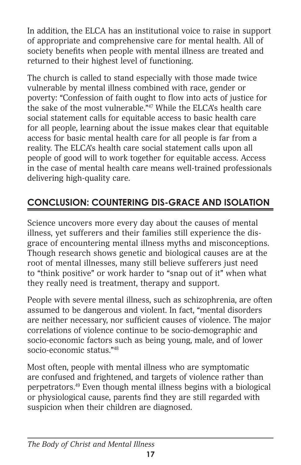In addition, the ELCA has an institutional voice to raise in support of appropriate and comprehensive care for mental health. All of society benefits when people with mental illness are treated and returned to their highest level of functioning.

The church is called to stand especially with those made twice vulnerable by mental illness combined with race, gender or poverty: "Confession of faith ought to flow into acts of justice for the sake of the most vulnerable."47 While the ELCA's health care social statement calls for equitable access to basic health care for all people, learning about the issue makes clear that equitable access for basic mental health care for all people is far from a reality. The ELCA's health care social statement calls upon all people of good will to work together for equitable access. Access in the case of mental health care means well-trained professionals delivering high-quality care.

# **CONCLUSION: COUNTERING DIS-GRACE AND ISOLATION**

Science uncovers more every day about the causes of mental illness, yet sufferers and their families still experience the disgrace of encountering mental illness myths and misconceptions. Though research shows genetic and biological causes are at the root of mental illnesses, many still believe sufferers just need to "think positive" or work harder to "snap out of it" when what they really need is treatment, therapy and support.

People with severe mental illness, such as schizophrenia, are often assumed to be dangerous and violent. In fact, "mental disorders are neither necessary, nor sufficient causes of violence. The major correlations of violence continue to be socio-demographic and socio-economic factors such as being young, male, and of lower socio-economic status."48

Most often, people with mental illness who are symptomatic are confused and frightened, and targets of violence rather than perpetrators.49 Even though mental illness begins with a biological or physiological cause, parents find they are still regarded with suspicion when their children are diagnosed.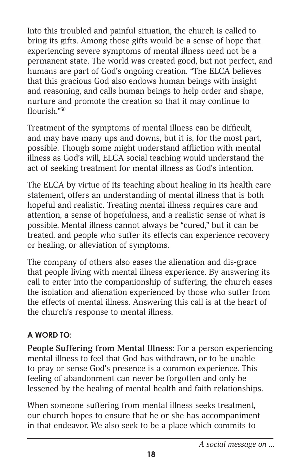Into this troubled and painful situation, the church is called to bring its gifts. Among those gifts would be a sense of hope that experiencing severe symptoms of mental illness need not be a permanent state. The world was created good, but not perfect, and humans are part of God's ongoing creation. "The ELCA believes that this gracious God also endows human beings with insight and reasoning, and calls human beings to help order and shape, nurture and promote the creation so that it may continue to flourish."50

Treatment of the symptoms of mental illness can be difficult, and may have many ups and downs, but it is, for the most part, possible. Though some might understand affliction with mental illness as God's will, ELCA social teaching would understand the act of seeking treatment for mental illness as God's intention.

The ELCA by virtue of its teaching about healing in its health care statement, offers an understanding of mental illness that is both hopeful and realistic. Treating mental illness requires care and attention, a sense of hopefulness, and a realistic sense of what is possible. Mental illness cannot always be "cured," but it can be treated, and people who suffer its effects can experience recovery or healing, or alleviation of symptoms.

The company of others also eases the alienation and dis-grace that people living with mental illness experience. By answering its call to enter into the companionship of suffering, the church eases the isolation and alienation experienced by those who suffer from the effects of mental illness. Answering this call is at the heart of the church's response to mental illness.

#### **A WORD TO:**

**People Suffering from Mental Illness:** For a person experiencing mental illness to feel that God has withdrawn, or to be unable to pray or sense God's presence is a common experience. This feeling of abandonment can never be forgotten and only be lessened by the healing of mental health and faith relationships.

When someone suffering from mental illness seeks treatment, our church hopes to ensure that he or she has accompaniment in that endeavor. We also seek to be a place which commits to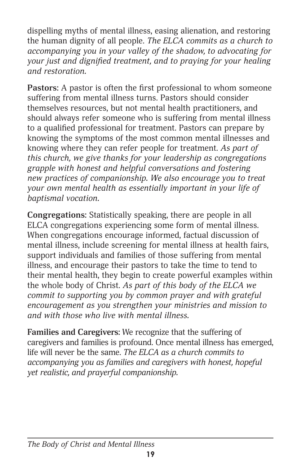dispelling myths of mental illness, easing alienation, and restoring the human dignity of all people. *The ELCA commits as a church to accompanying you in your valley of the shadow, to advocating for your just and dignified treatment, and to praying for your healing and restoration.*

**Pastors:** A pastor is often the first professional to whom someone suffering from mental illness turns. Pastors should consider themselves resources, but not mental health practitioners, and should always refer someone who is suffering from mental illness to a qualified professional for treatment. Pastors can prepare by knowing the symptoms of the most common mental illnesses and knowing where they can refer people for treatment. *As part of this church, we give thanks for your leadership as congregations grapple with honest and helpful conversations and fostering new practices of companionship. We also encourage you to treat your own mental health as essentially important in your life of baptismal vocation.* 

**Congregations:** Statistically speaking, there are people in all ELCA congregations experiencing some form of mental illness. When congregations encourage informed, factual discussion of mental illness, include screening for mental illness at health fairs, support individuals and families of those suffering from mental illness, and encourage their pastors to take the time to tend to their mental health, they begin to create powerful examples within the whole body of Christ. *As part of this body of the ELCA we commit to supporting you by common prayer and with grateful encouragement as you strengthen your ministries and mission to and with those who live with mental illness.*

**Families and Caregivers:** We recognize that the suffering of caregivers and families is profound. Once mental illness has emerged, life will never be the same. *The ELCA as a church commits to accompanying you as families and caregivers with honest, hopeful yet realistic, and prayerful companionship.*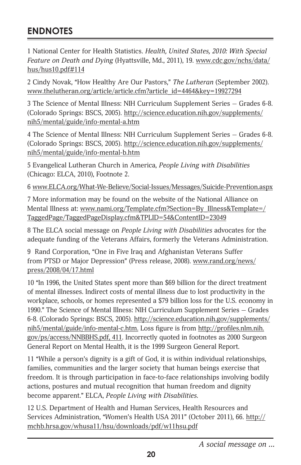# **ENDNOTES**

1 National Center for Health Statistics. *Health, United States, 2010: With Special Feature on Death and Dying* (Hyattsville, Md., 2011), 19. www.cdc.gov/nchs/data/ hus/hus10.pdf#114

2 Cindy Novak, "How Healthy Are Our Pastors," *The Lutheran* (September 2002). www.thelutheran.org/article/article.cfm?article\_id=4464&key=19927294

3 The Science of Mental Illness: NIH Curriculum Supplement Series — Grades 6-8. (Colorado Springs: BSCS, 2005). http://science.education.nih.gov/supplements/ nih5/mental/guide/info-mental-a.htm

4 The Science of Mental Illness: NIH Curriculum Supplement Series — Grades 6-8. (Colorado Springs: BSCS, 2005). http://science.education.nih.gov/supplements/ nih5/mental/guide/info-mental-b.htm

5 Evangelical Lutheran Church in America, *People Living with Disabilities* (Chicago: ELCA, 2010), Footnote 2.

6 www.ELCA.org/What-We-Believe/Social-Issues/Messages/Suicide-Prevention.aspx

7 More information may be found on the website of the National Alliance on Mental Illness at: www.nami.org/Template.cfm?Section=By\_Illness&Template=/ TaggedPage/TaggedPageDisplay.cfm&TPLID=54&ContentID=23049

8 The ELCA social message on *People Living with Disabilities* advocates for the adequate funding of the Veterans Affairs, formerly the Veterans Administration.

9 Rand Corporation, "One in Five Iraq and Afghanistan Veterans Suffer from PTSD or Major Depression" (Press release, 2008). www.rand.org/news/ press/2008/04/17.html

10 "In 1996, the United States spent more than \$69 billion for the direct treatment of mental illnesses. Indirect costs of mental illness due to lost productivity in the workplace, schools, or homes represented a \$79 billion loss for the U.S. economy in 1990." The Science of Mental Illness: NIH Curriculum Supplement Series — Grades 6-8. (Colorado Springs: BSCS, 2005). http://science.education.nih.gov/supplements/ nih5/mental/guide/info-mental-c.htm. Loss figure is from http://profiles.nlm.nih. gov/ps/access/NNBBHS.pdf, 411. Incorrectly quoted in footnotes as 2000 Surgeon General Report on Mental Health, it is the 1999 Surgeon General Report.

11 "While a person's dignity is a gift of God, it is within individual relationships, families, communities and the larger society that human beings exercise that freedom. It is through participation in face-to-face relationships involving bodily actions, postures and mutual recognition that human freedom and dignity become apparent." ELCA, *People Living with Disabilities*.

12 U.S. Department of Health and Human Services, Health Resources and Services Administration, "Women's Health USA 2011" (October 2011), 66. http:// mchb.hrsa.gov/whusa11/hsu/downloads/pdf/w11hsu.pdf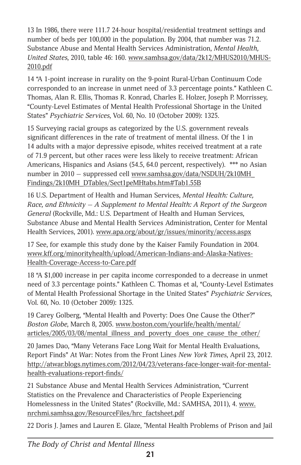13 In 1986, there were 111.7 24-hour hospital/residential treatment settings and number of beds per 100,000 in the population. By 2004, that number was 71.2. Substance Abuse and Mental Health Services Administration, *Mental Health, United States*, 2010, table 46: 160. www.samhsa.gov/data/2k12/MHUS2010/MHUS-2010.pdf

14 "A 1-point increase in rurality on the 9-point Rural-Urban Continuum Code corresponded to an increase in unmet need of 3.3 percentage points." Kathleen C. Thomas, Alan R. Ellis, Thomas R. Konrad, Charles E. Holzer, Joseph P. Morrissey, "County-Level Estimates of Mental Health Professional Shortage in the United States" *Psychiatric Services*, Vol. 60, No. 10 (October 2009): 1325.

15 Surveying racial groups as categorized by the U.S. government reveals significant differences in the rate of treatment of mental illness. Of the 1 in 14 adults with a major depressive episode, whites received treatment at a rate of 71.9 percent, but other races were less likely to receive treatment: African Americans, Hispanics and Asians (54.5, 64.0 percent, respectively). \*\*\* no Asian number in 2010 - suppressed cell www.samhsa.gov/data/NSDUH/2k10MH\_ Findings/2k10MH\_DTables/Sect1peMHtabs.htm#Tab1.55B

16 U.S. Department of Health and Human Services, *Mental Health: Culture, Race, and Ethnicity — A Supplement to Mental Health: A Report of the Surgeon General* (Rockville, Md.: U.S. Department of Health and Human Services, Substance Abuse and Mental Health Services Administration, Center for Mental Health Services, 2001). www.apa.org/about/gr/issues/minority/access.aspx

17 See, for example this study done by the Kaiser Family Foundation in 2004. www.kff.org/minorityhealth/upload/American-Indians-and-Alaska-Natives-Health-Coverage-Access-to-Care.pdf

18 "A \$1,000 increase in per capita income corresponded to a decrease in unmet need of 3.3 percentage points." Kathleen C. Thomas et al, "County-Level Estimates of Mental Health Professional Shortage in the United States" *Psychiatric Services*, Vol. 60, No. 10 (October 2009): 1325.

19 Carey Golberg, "Mental Health and Poverty: Does One Cause the Other?" *Boston Globe*, March 8, 2005. www.boston.com/yourlife/health/mental/ articles/2005/03/08/mental\_illness\_and\_poverty\_does\_one\_cause\_the\_other/

20 James Dao, "Many Veterans Face Long Wait for Mental Health Evaluations, Report Finds" At War: Notes from the Front Lines *New York Times*, April 23, 2012. http://atwar.blogs.nytimes.com/2012/04/23/veterans-face-longer-wait-for-mentalhealth-evaluations-report-finds/

21 Substance Abuse and Mental Health Services Administration, "Current Statistics on the Prevalence and Characteristics of People Experiencing Homelessness in the United States" (Rockville, Md.: SAMHSA, 2011), 4. www. nrchmi.samhsa.gov/ResourceFiles/hrc\_factsheet.pdf

22 Doris J. James and Lauren E. Glaze, "Mental Health Problems of Prison and Jail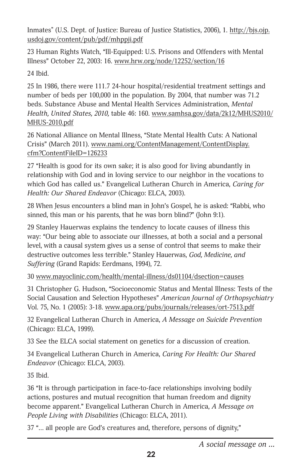Inmates" (U.S. Dept. of Justice: Bureau of Justice Statistics, 2006), 1. http://bjs.ojp. usdoj.gov/content/pub/pdf/mhppji.pdf

23 Human Rights Watch, "Ill-Equipped: U.S. Prisons and Offenders with Mental Illness" October 22, 2003: 16. www.hrw.org/node/12252/section/16

24 Ibid.

25 In 1986, there were 111.7 24-hour hospital/residential treatment settings and number of beds per 100,000 in the population. By 2004, that number was 71.2 beds. Substance Abuse and Mental Health Services Administration, *Mental Health, United States, 2010,* table 46: 160. www.samhsa.gov/data/2k12/MHUS2010/ MHUS-2010.pdf

26 National Alliance on Mental Illness, "State Mental Health Cuts: A National Crisis" (March 2011). www.nami.org/ContentManagement/ContentDisplay. cfm?ContentFileID=126233

27 "Health is good for its own sake; it is also good for living abundantly in relationship with God and in loving service to our neighbor in the vocations to which God has called us." Evangelical Lutheran Church in America, *Caring for Health: Our Shared Endeavor* (Chicago: ELCA, 2003).

28 When Jesus encounters a blind man in John's Gospel, he is asked: "Rabbi, who sinned, this man or his parents, that he was born blind?" (John 9:1).

29 Stanley Hauerwas explains the tendency to locate causes of illness this way: "Our being able to associate our illnesses, at both a social and a personal level, with a causal system gives us a sense of control that seems to make their destructive outcomes less terrible." Stanley Hauerwas, *God, Medicine, and Suffering* (Grand Rapids: Eerdmans, 1994), 72.

30 www.mayoclinic.com/health/mental-illness/ds01104/dsection=causes

31 Christopher G. Hudson, "Socioeconomic Status and Mental Illness: Tests of the Social Causation and Selection Hypotheses" *American Journal of Orthopsychiatry*  Vol. 75, No. 1 (2005): 3-18. www.apa.org/pubs/journals/releases/ort-7513.pdf

32 Evangelical Lutheran Church in America, *A Message on Suicide Prevention* (Chicago: ELCA, 1999).

33 See the ELCA social statement on genetics for a discussion of creation.

34 Evangelical Lutheran Church in America, *Caring For Health: Our Shared Endeavor* (Chicago: ELCA, 2003).

35 Ibid.

36 "It is through participation in face-to-face relationships involving bodily actions, postures and mutual recognition that human freedom and dignity become apparent." Evangelical Lutheran Church in America, *A Message on People Living with Disabilities* (Chicago: ELCA, 2011).

37 "… all people are God's creatures and, therefore, persons of dignity,"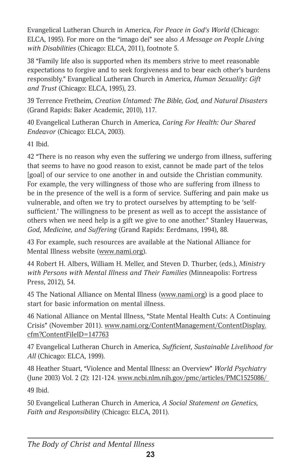Evangelical Lutheran Church in America, *For Peace in God's World* (Chicago: ELCA, 1995). For more on the "imago dei" see also *A Message on People Living with Disabilities* (Chicago: ELCA, 2011), footnote 5.

38 "Family life also is supported when its members strive to meet reasonable expectations to forgive and to seek forgiveness and to bear each other's burdens responsibly." Evangelical Lutheran Church in America, *Human Sexuality: Gift and Trust* (Chicago: ELCA, 1995), 23.

39 Terrence Fretheim, *Creation Untamed: The Bible, God, and Natural Disasters* (Grand Rapids: Baker Academic, 2010), 117.

40 Evangelical Lutheran Church in America, *Caring For Health: Our Shared Endeavor* (Chicago: ELCA, 2003).

41 Ibid.

42 "There is no reason why even the suffering we undergo from illness, suffering that seems to have no good reason to exist, cannot be made part of the telos [goal] of our service to one another in and outside the Christian community. For example, the very willingness of those who are suffering from illness to be in the presence of the well is a form of service. Suffering and pain make us vulnerable, and often we try to protect ourselves by attempting to be 'selfsufficient.' The willingness to be present as well as to accept the assistance of others when we need help is a gift we give to one another." Stanley Hauerwas, *God, Medicine, and Suffering* (Grand Rapids: Eerdmans, 1994), 88.

43 For example, such resources are available at the National Alliance for Mental Illness website (www.nami.org).

44 Robert H. Albers, William H. Meller, and Steven D. Thurber, (eds.), *Ministry with Persons with Mental Illness and Their Families* (Minneapolis: Fortress Press, 2012), 54.

45 The National Alliance on Mental Illness (www.nami.org) is a good place to start for basic information on mental illness.

46 National Alliance on Mental Illness, "State Mental Health Cuts: A Continuing Crisis" (November 2011). www.nami.org/ContentManagement/ContentDisplay. cfm?ContentFileID=147763

47 Evangelical Lutheran Church in America, *Sufficient, Sustainable Livelihood for All* (Chicago: ELCA, 1999).

48 Heather Stuart, "Violence and Mental Illness: an Overview" *World Psychiatry* (June 2003) Vol. 2 (2): 121-124. www.ncbi.nlm.nih.gov/pmc/articles/PMC1525086/ 49 Ibid.

50 Evangelical Lutheran Church in America, *A Social Statement on Genetics, Faith and Responsibilit*y (Chicago: ELCA, 2011).